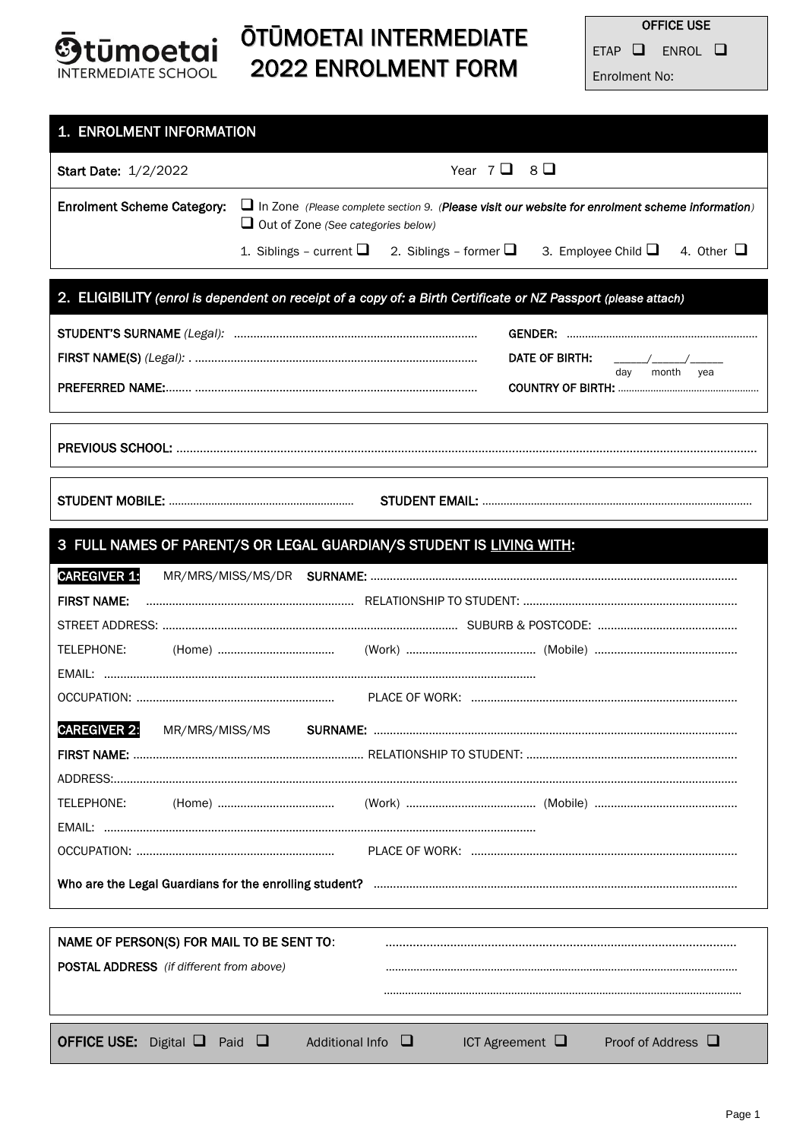

# ŌTŪMOETAI INTERMEDIATE 2022 ENROLMENT FORM

**OFFICE USE** ETAP  $\square$  ENROL  $\square$ Enrolment No:

| 1. ENROLMENT INFORMATION                                                                                       |                                           |                      |                                                                                                        |  |
|----------------------------------------------------------------------------------------------------------------|-------------------------------------------|----------------------|--------------------------------------------------------------------------------------------------------|--|
| <b>Start Date: 1/2/2022</b>                                                                                    |                                           | Year $7Q \quad 8Q$   |                                                                                                        |  |
| <b>Enrolment Scheme Category:</b>                                                                              | $\Box$ Out of Zone (See categories below) |                      | $\Box$ In Zone (Please complete section 9. (Please visit our website for enrolment scheme information) |  |
|                                                                                                                |                                           |                      | 1. Siblings - current $\Box$ 2. Siblings - former $\Box$ 3. Employee Child $\Box$ 4. Other $\Box$      |  |
| 2. ELIGIBILITY (enrol is dependent on receipt of a copy of: a Birth Certificate or NZ Passport (please attach) |                                           |                      |                                                                                                        |  |
|                                                                                                                |                                           |                      |                                                                                                        |  |
|                                                                                                                |                                           |                      | DATE OF BIRTH:<br>$\overline{\phantom{a}}$                                                             |  |
|                                                                                                                |                                           |                      | month yea<br>day                                                                                       |  |
|                                                                                                                |                                           |                      |                                                                                                        |  |
|                                                                                                                |                                           |                      |                                                                                                        |  |
| 3 FULL NAMES OF PARENT/S OR LEGAL GUARDIAN/S STUDENT IS LIVING WITH:                                           |                                           |                      |                                                                                                        |  |
| <b>CAREGIVER 1:</b>                                                                                            |                                           |                      |                                                                                                        |  |
| <b>FIRST NAME:</b>                                                                                             |                                           |                      |                                                                                                        |  |
|                                                                                                                |                                           |                      |                                                                                                        |  |
| TELEPHONE:                                                                                                     |                                           |                      |                                                                                                        |  |
|                                                                                                                |                                           |                      |                                                                                                        |  |
|                                                                                                                |                                           |                      |                                                                                                        |  |
| <b>CAREGIVER 2:</b><br>MR/MRS/MISS/MS                                                                          |                                           |                      |                                                                                                        |  |
|                                                                                                                |                                           |                      |                                                                                                        |  |
|                                                                                                                |                                           |                      |                                                                                                        |  |
| TELEPHONE:                                                                                                     |                                           |                      |                                                                                                        |  |
|                                                                                                                |                                           |                      |                                                                                                        |  |
|                                                                                                                |                                           |                      |                                                                                                        |  |
|                                                                                                                |                                           |                      |                                                                                                        |  |
|                                                                                                                |                                           |                      |                                                                                                        |  |
| NAME OF PERSON(S) FOR MAIL TO BE SENT TO:<br><b>POSTAL ADDRESS</b> (if different from above)                   |                                           |                      |                                                                                                        |  |
|                                                                                                                |                                           |                      |                                                                                                        |  |
|                                                                                                                |                                           |                      |                                                                                                        |  |
| <b>OFFICE USE:</b> Digital $\Box$ Paid $\Box$                                                                  | Additional Info $\square$                 | ICT Agreement $\Box$ | Proof of Address $\Box$                                                                                |  |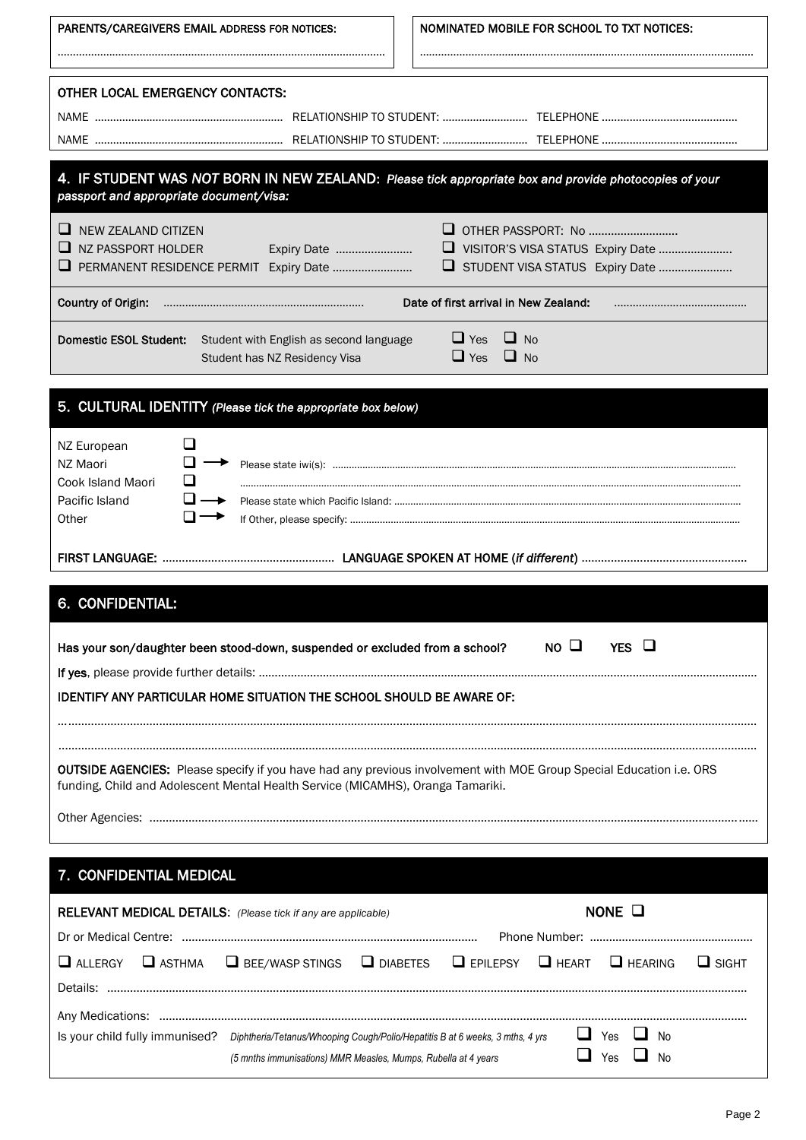| PARENTS/CAREGIVERS EMAIL ADDRESS FOR NOTICES:                                                                                                                                                          | NOMINATED MOBILE FOR SCHOOL TO TXT NOTICES:                          |  |  |  |
|--------------------------------------------------------------------------------------------------------------------------------------------------------------------------------------------------------|----------------------------------------------------------------------|--|--|--|
| OTHER LOCAL EMERGENCY CONTACTS:                                                                                                                                                                        |                                                                      |  |  |  |
|                                                                                                                                                                                                        |                                                                      |  |  |  |
| 4. IF STUDENT WAS NOT BORN IN NEW ZEALAND: Please tick appropriate box and provide photocopies of your<br>passport and appropriate document/visa:                                                      |                                                                      |  |  |  |
| $\Box$ NEW ZEALAND CITIZEN<br>$\Box$ NZ PASSPORT HOLDER<br>Expiry Date                                                                                                                                 | VISITOR'S VISA STATUS Expiry Date<br>STUDENT VISA STATUS Expiry Date |  |  |  |
| <b>Country of Origin:</b>                                                                                                                                                                              | Date of first arrival in New Zealand:                                |  |  |  |
| <b>Domestic ESOL Student:</b><br>Student with English as second language<br>Student has NZ Residency Visa                                                                                              | $\Box$ Yes<br>$\Box$ No<br>$\Box$ Yes<br>$\Box$ No                   |  |  |  |
| 5. CULTURAL IDENTITY (Please tick the appropriate box below)                                                                                                                                           |                                                                      |  |  |  |
| $\Box$<br>NZ European<br>$\Box \rightarrow$<br>NZ Maori<br>$\Box$<br>Cook Island Maori<br>⊔ –<br>Pacific Island<br>$\mathbf{L}$<br>Other                                                               |                                                                      |  |  |  |
|                                                                                                                                                                                                        |                                                                      |  |  |  |
| 6. CONFIDENTIAL:                                                                                                                                                                                       |                                                                      |  |  |  |
| Has your son/daughter been stood-down, suspended or excluded from a school?                                                                                                                            | $NO$ $Q$<br>YES $\Box$                                               |  |  |  |
| IDENTIFY ANY PARTICULAR HOME SITUATION THE SCHOOL SHOULD BE AWARE OF:                                                                                                                                  |                                                                      |  |  |  |
| OUTSIDE AGENCIES: Please specify if you have had any previous involvement with MOE Group Special Education i.e. ORS<br>funding, Child and Adolescent Mental Health Service (MICAMHS), Oranga Tamariki. |                                                                      |  |  |  |
|                                                                                                                                                                                                        |                                                                      |  |  |  |
| 7. CONFIDENTIAL MEDICAL                                                                                                                                                                                |                                                                      |  |  |  |
| RELEVANT MEDICAL DETAILS: (Please tick if any are applicable)                                                                                                                                          | NONE $\square$                                                       |  |  |  |
| $\Box$ ALLERGY<br>$\Box$ ASTHMA<br>$\Box$ BEE/WASP STINGS $\Box$ DIABETES $\Box$ EPILEPSY                                                                                                              | $\Box$ HEART<br>$\Box$ HEARING<br>$\Box$ SIGHT                       |  |  |  |
| Is your child fully immunised? Diphtheria/Tetanus/Whooping Cough/Polio/Hepatitis B at 6 weeks, 3 mths, 4 yrs<br>(5 mnths immunisations) MMR Measles, Mumps, Rubella at 4 years                         | $\Box$ Yes<br>$\Box$ No<br>$\Box$ Yes<br>No                          |  |  |  |

l,

 $\overline{1}$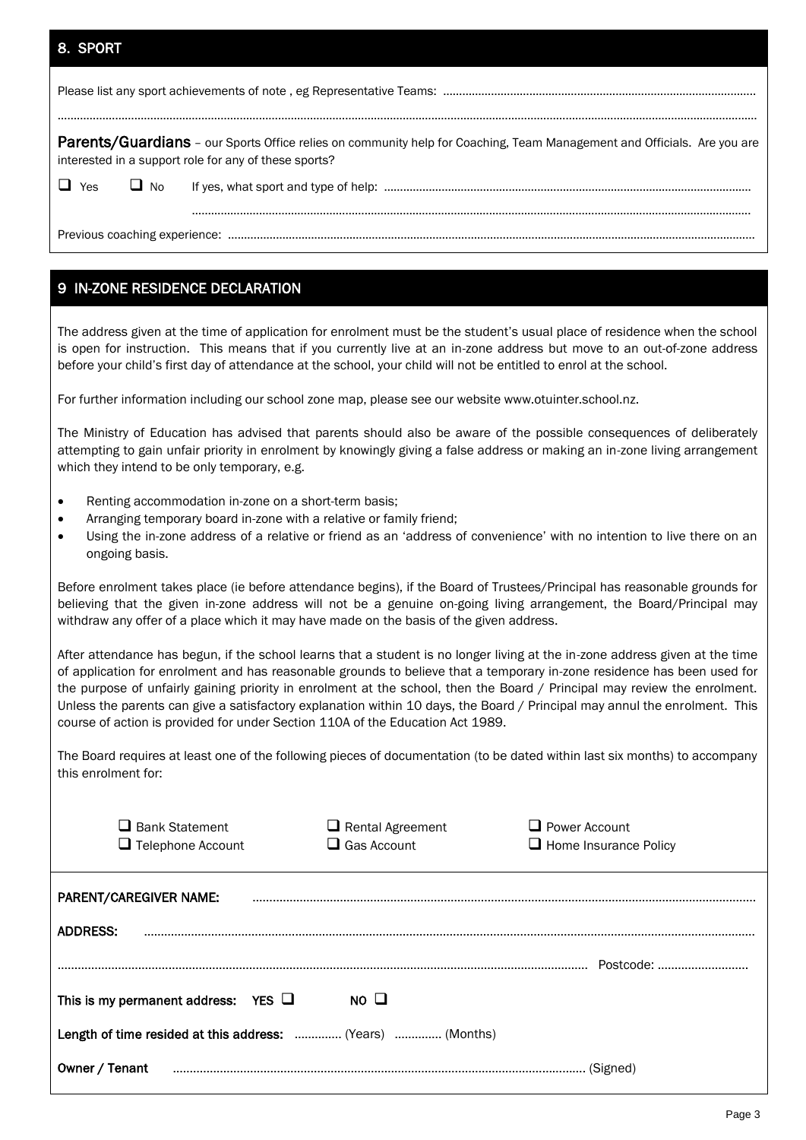#### 8. SPORT

|            |           | Parents/Guardians - our Sports Office relies on community help for Coaching, Team Management and Officials. Are you are<br>interested in a support role for any of these sports? |  |
|------------|-----------|----------------------------------------------------------------------------------------------------------------------------------------------------------------------------------|--|
| $\Box$ Yes | $\Box$ No |                                                                                                                                                                                  |  |
|            |           |                                                                                                                                                                                  |  |
|            |           |                                                                                                                                                                                  |  |
|            |           |                                                                                                                                                                                  |  |

## 9 IN-ZONE RESIDENCE DECLARATION

The address given at the time of application for enrolment must be the student's usual place of residence when the school is open for instruction. This means that if you currently live at an in-zone address but move to an out-of-zone address before your child's first day of attendance at the school, your child will not be entitled to enrol at the school.

For further information including our school zone map, please see our website www.otuinter.school.nz.

The Ministry of Education has advised that parents should also be aware of the possible consequences of deliberately attempting to gain unfair priority in enrolment by knowingly giving a false address or making an in-zone living arrangement which they intend to be only temporary, e.g.

- Renting accommodation in-zone on a short-term basis:
- Arranging temporary board in-zone with a relative or family friend;
- Using the in-zone address of a relative or friend as an 'address of convenience' with no intention to live there on an ongoing basis.

Before enrolment takes place (ie before attendance begins), if the Board of Trustees/Principal has reasonable grounds for believing that the given in-zone address will not be a genuine on-going living arrangement, the Board/Principal may withdraw any offer of a place which it may have made on the basis of the given address.

After attendance has begun, if the school learns that a student is no longer living at the in-zone address given at the time of application for enrolment and has reasonable grounds to believe that a temporary in-zone residence has been used for the purpose of unfairly gaining priority in enrolment at the school, then the Board / Principal may review the enrolment. Unless the parents can give a satisfactory explanation within 10 days, the Board / Principal may annul the enrolment. This course of action is provided for under Section 110A of the Education Act 1989.

The Board requires at least one of the following pieces of documentation (to be dated within last six months) to accompany this enrolment for:

| Bank Statement<br>$\Box$ Telephone Account                 | $\Box$ Rental Agreement<br>$\Box$ Gas Account | $\Box$ Power Account<br>$\Box$ Home Insurance Policy |
|------------------------------------------------------------|-----------------------------------------------|------------------------------------------------------|
| PARENT/CAREGIVER NAME:                                     |                                               |                                                      |
| <b>ADDRESS:</b>                                            |                                               |                                                      |
| This is my permanent address: YES $\Box$                   | $NO$ $\Box$                                   | Postcode:                                            |
| Length of time resided at this address:  (Years)  (Months) |                                               |                                                      |
| Owner / Tenant                                             |                                               |                                                      |